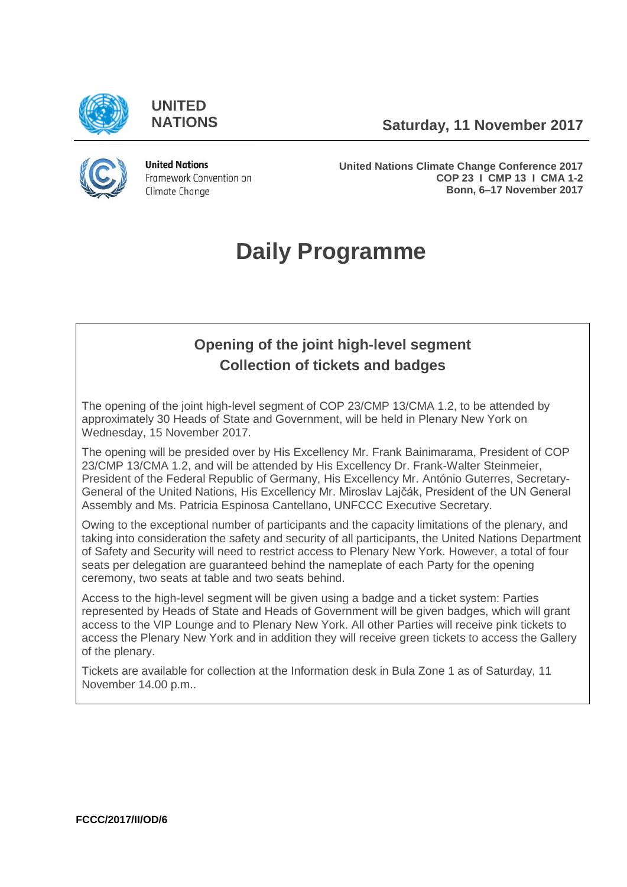

**UNITED**

**NATIONS Saturday, 11 November 2017**



**United Nations** Framework Convention on Climate Change

**United Nations Climate Change Conference 2017 COP 23 I CMP 13 I CMA 1-2 Bonn, 6–17 November 2017**

# **Daily Programme**

# **Opening of the joint high-level segment Collection of tickets and badges**

The opening of the joint high-level segment of COP 23/CMP 13/CMA 1.2, to be attended by approximately 30 Heads of State and Government, will be held in Plenary New York on Wednesday, 15 November 2017.

The opening will be presided over by His Excellency Mr. Frank Bainimarama, President of COP 23/CMP 13/CMA 1.2, and will be attended by His Excellency Dr. Frank-Walter Steinmeier, President of the Federal Republic of Germany, His Excellency Mr. António Guterres, Secretary-General of the United Nations, His Excellency Mr. Miroslav Lajčák, President of the UN General Assembly and Ms. Patricia Espinosa Cantellano, UNFCCC Executive Secretary.

Owing to the exceptional number of participants and the capacity limitations of the plenary, and taking into consideration the safety and security of all participants, the United Nations Department of Safety and Security will need to restrict access to Plenary New York. However, a total of four seats per delegation are guaranteed behind the nameplate of each Party for the opening ceremony, two seats at table and two seats behind.

Access to the high-level segment will be given using a badge and a ticket system: Parties represented by Heads of State and Heads of Government will be given badges, which will grant access to the VIP Lounge and to Plenary New York. All other Parties will receive pink tickets to access the Plenary New York and in addition they will receive green tickets to access the Gallery of the plenary.

Tickets are available for collection at the Information desk in Bula Zone 1 as of Saturday, 11 November 14.00 p.m..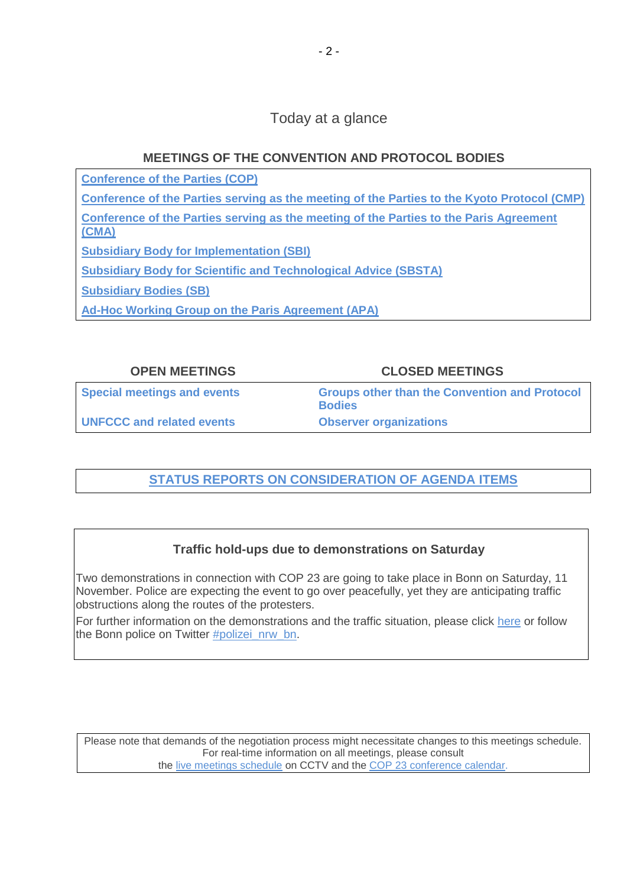# Today at a glance

### **MEETINGS OF THE CONVENTION AND PROTOCOL BODIES**

**[Conference of the Parties \(COP\)](https://grandreserva.unfccc.int/grandreserva/public/schedule?time=2017%2F11%2F11&conference_id=70&meeting_type=&body=4&webcast=0)**

**[Conference of the Parties serving as the meeting of the Parties to the Kyoto Protocol \(CMP\)](https://grandreserva.unfccc.int/grandreserva/public/schedule?time=2017%2F11%2F11&conference_id=70&meeting_type=&body=3&webcast=0)**

**[Conference of the Parties serving as the meeting of the Parties to the Paris Agreement](https://grandreserva.unfccc.int/grandreserva/public/schedule?time=2017%2F11%2F11&conference_id=70&meeting_type=&body=10&webcast=0)  [\(CMA\)](https://grandreserva.unfccc.int/grandreserva/public/schedule?time=2017%2F11%2F11&conference_id=70&meeting_type=&body=10&webcast=0)**

**[Subsidiary Body for Implementation \(SBI\)](https://grandreserva.unfccc.int/grandreserva/public/schedule?time=2017%2F11%2F11&conference_id=70&meeting_type=&body=5&webcast=0)**

**[Subsidiary Body for Scientific and Technological Advice \(SBSTA\)](https://grandreserva.unfccc.int/grandreserva/public/schedule?time=2017%2F11%2F11&conference_id=70&meeting_type=&body=6&webcast=0)**

**[Subsidiary Bodies \(SB\)](https://grandreserva.unfccc.int/grandreserva/public/schedule?time=2017%2F11%2F11&conference_id=70&meeting_type=&body=7&webcast=0)**

**[Ad-Hoc Working Group on the Paris Agreement \(APA\)](https://grandreserva.unfccc.int/grandreserva/public/schedule?time=2017%2F11%2F11&conference_id=70&meeting_type=&body=9&webcast=0)**

### **OPEN MEETINGS CLOSED MEETINGS**

**[Special meetings and events](#page-2-0) [Groups other than the Convention](#page-2-1) and Protocol [Bodies](#page-2-1) [UNFCCC and related events](#page-2-2) [Observer organizations](#page-3-0)**

# **[STATUS REPORTS ON CONSIDERATION OF AGENDA ITEMS](http://unfccc.int/meetings/bonn_nov_2017/in-session/items/10482.php)**

# **Traffic hold-ups due to demonstrations on Saturday**

Two demonstrations in connection with COP 23 are going to take place in Bonn on Saturday, 11 November. Police are expecting the event to go over peacefully, yet they are anticipating traffic obstructions along the routes of the protesters.

For further information on the demonstrations and the traffic situation, please click [here](https://bonn.polizei.nrw/sites/default/files/2017-11/Demonstrations_November11th.pdf) or follow the Bonn police on Twitter [#polizei\\_nrw\\_bn.](https://twitter.com/polizei_nrw_bn)

Please note that demands of the negotiation process might necessitate changes to this meetings schedule. For real-time information on all meetings, please consult the [live meetings schedule](https://grandreserva.unfccc.int/grandreserva/public/schedule?time=2017%2F11%2F11&conference_id=70&meeting_type=&body=&webcast=0) on CCTV and the [COP 23 conference calendar.](https://cop23.unfccc.int/calendar)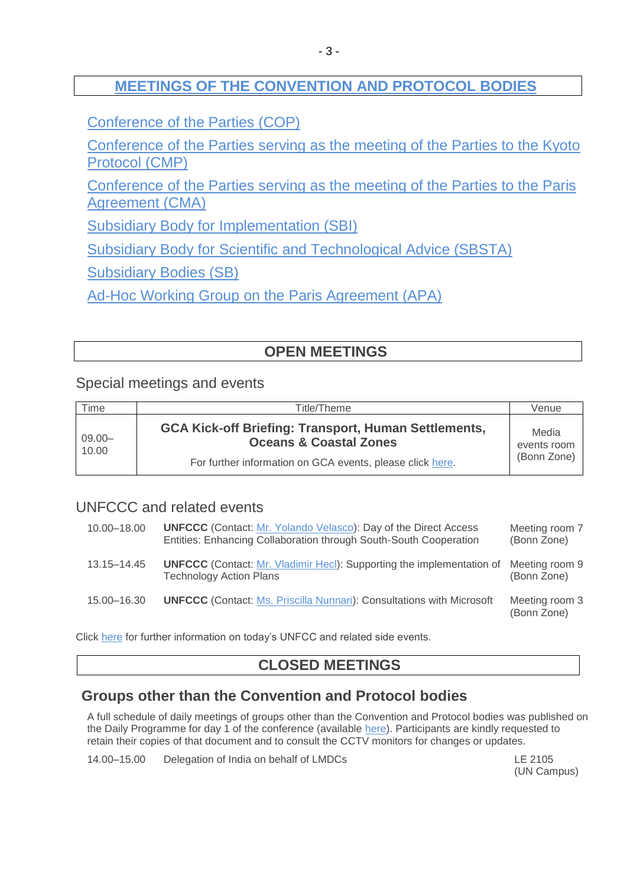# **[MEETINGS OF THE CONVENTION AND PROTOCOL BODIES](https://grandreserva.unfccc.int/grandreserva/public/schedule?time=2017%2F11%2F11&conference_id=70&meeting_type=&body=3%2C4%2C5%2C6%2C7%2C8%2C9%2C10&webcast=0)**

[Conference of the Parties \(COP\)](https://grandreserva.unfccc.int/grandreserva/public/schedule?time=2017%2F11%2F11&conference_id=70&meeting_type=&body=4&webcast=0)

[Conference of the Parties serving as the meeting of the Parties to the Kyoto](https://grandreserva.unfccc.int/grandreserva/public/schedule?time=2017%2F11%2F11&conference_id=70&meeting_type=&body=3&webcast=0)  [Protocol \(CMP\)](https://grandreserva.unfccc.int/grandreserva/public/schedule?time=2017%2F11%2F11&conference_id=70&meeting_type=&body=3&webcast=0)

[Conference of the Parties serving as the meeting of the Parties to the Paris](https://grandreserva.unfccc.int/grandreserva/public/schedule?time=2017%2F11%2F11&conference_id=70&meeting_type=&body=10&webcast=0)  [Agreement \(CMA\)](https://grandreserva.unfccc.int/grandreserva/public/schedule?time=2017%2F11%2F11&conference_id=70&meeting_type=&body=10&webcast=0)

[Subsidiary Body for Implementation \(SBI\)](https://grandreserva.unfccc.int/grandreserva/public/schedule?time=2017%2F11%2F11&conference_id=70&meeting_type=&body=5&webcast=0)

[Subsidiary Body for Scientific and Technological Advice \(SBSTA\)](https://grandreserva.unfccc.int/grandreserva/public/schedule?time=2017%2F11%2F11&conference_id=70&meeting_type=&body=6&webcast=0)

[Subsidiary Bodies \(SB\)](https://grandreserva.unfccc.int/grandreserva/public/schedule?time=2017%2F11%2F11&conference_id=70&meeting_type=&body=7&webcast=0)

[Ad-Hoc Working Group on the Paris Agreement \(APA\)](https://grandreserva.unfccc.int/grandreserva/public/schedule?time=2017%2F11%2F11&conference_id=70&meeting_type=&body=9&webcast=0)

# **OPEN MEETINGS**

### <span id="page-2-0"></span>Special meetings and events

<span id="page-2-2"></span>

| Time               | Title/Theme                                                                                      | Venue                               |
|--------------------|--------------------------------------------------------------------------------------------------|-------------------------------------|
| $09.00 -$<br>10.00 | <b>GCA Kick-off Briefing: Transport, Human Settlements,</b><br><b>Oceans &amp; Coastal Zones</b> | Media<br>events room<br>(Bonn Zone) |
|                    | For further information on GCA events, please click here.                                        |                                     |

# UNFCCC and related events

| 10.00-18.00 | <b>UNFCCC</b> (Contact: Mr. Yolando Velasco): Day of the Direct Access<br>Entities: Enhancing Collaboration through South-South Cooperation | Meeting room 7<br>(Bonn Zone) |
|-------------|---------------------------------------------------------------------------------------------------------------------------------------------|-------------------------------|
| 13.15–14.45 | <b>UNFCCC</b> (Contact: Mr. Vladimir Hecl): Supporting the implementation of<br><b>Technology Action Plans</b>                              | Meeting room 9<br>(Bonn Zone) |
| 15.00-16.30 | <b>UNFCCC</b> (Contact: Ms. Priscilla Nunnari): Consultations with Microsoft                                                                | Meeting room 3<br>(Bonn Zone) |

Click [here](https://seors.unfccc.int/seors/reports/events_list.html?session_id=COP23) for further information on today's UNFCC and related side events.

# **CLOSED MEETINGS**

# <span id="page-2-1"></span>**Groups other than the Convention and Protocol bodies**

A full schedule of daily meetings of groups other than the Convention and Protocol bodies was published on the Daily Programme for day 1 of the conference (available [here\)](http://unfccc.int/resource/docs/2017/cop23/OD/od01.pdf). Participants are kindly requested to retain their copies of that document and to consult the CCTV monitors for changes or updates.

14.00–15.00 Delegation of India on behalf of LMDCs LE 2105

(UN Campus)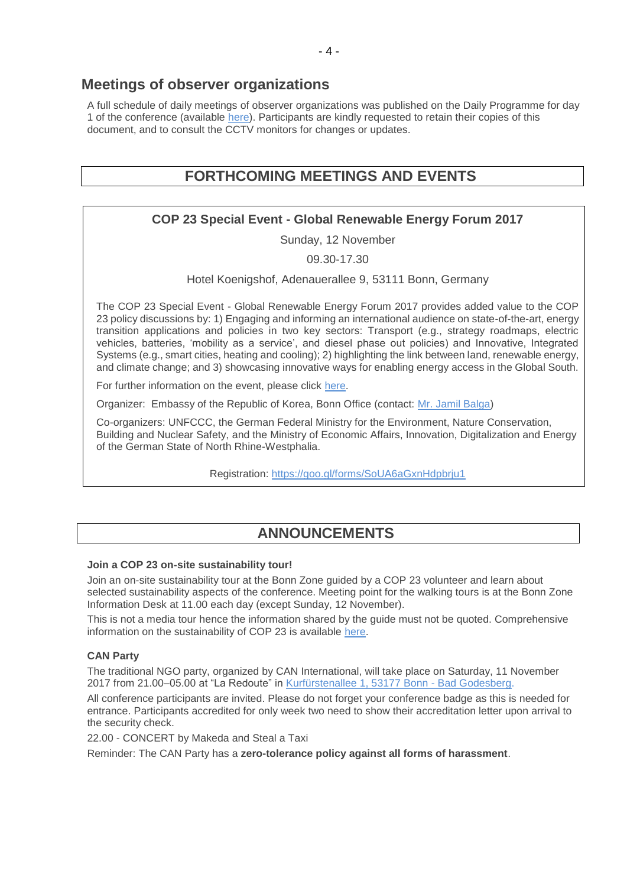### **Meetings of observer organizations**

<span id="page-3-0"></span>A full schedule of daily meetings of observer organizations was published on the Daily Programme for day 1 of the conference (available [here\)](http://unfccc.int/resource/docs/2017/cop23/OD/od01.pdf). Participants are kindly requested to retain their copies of this document, and to consult the CCTV monitors for changes or updates.

# **FORTHCOMING MEETINGS AND EVENTS**

### **COP 23 Special Event - Global Renewable Energy Forum 2017**

Sunday, 12 November

09.30-17.30

Hotel Koenigshof, Adenauerallee 9, 53111 Bonn, Germany

The COP 23 Special Event - Global Renewable Energy Forum 2017 provides added value to the COP 23 policy discussions by: 1) Engaging and informing an international audience on state-of-the-art, energy transition applications and policies in two key sectors: Transport (e.g., strategy roadmaps, electric vehicles, batteries, 'mobility as a service', and diesel phase out policies) and Innovative, Integrated Systems (e.g., smart cities, heating and cooling); 2) highlighting the link between land, renewable energy, and climate change; and 3) showcasing innovative ways for enabling energy access in the Global South.

For further information on the event, please click [here.](https://twitter.com/GREF2017?lang=de)

Organizer: Embassy of the Republic of Korea, Bonn Office (contact: Mr. [Jamil Balga\)](mailto:energie_bonn@mofa.go.kr)

Co-organizers: UNFCCC, the German Federal Ministry for the Environment, Nature Conservation, Building and Nuclear Safety, and the Ministry of Economic Affairs, Innovation, Digitalization and Energy of the German State of North Rhine-Westphalia.

Registration:<https://goo.gl/forms/SoUA6aGxnHdpbrju1>

# **ANNOUNCEMENTS**

#### **Join a COP 23 on-site sustainability tour!**

Join an on-site sustainability tour at the Bonn Zone guided by a COP 23 volunteer and learn about selected sustainability aspects of the conference. Meeting point for the walking tours is at the Bonn Zone Information Desk at 11.00 each day (except Sunday, 12 November).

This is not a media tour hence the information shared by the guide must not be quoted. Comprehensive information on the sustainability of COP 23 is available [here.](https://cop23.unfccc.int/cop-23/sustainable-conference)

#### **CAN Party**

The traditional NGO party, organized by CAN International, will take place on Saturday, 11 November 2017 from 21.00–05.00 at "La Redoute" in [Kurfürstenallee 1, 53177 Bonn -](https://www.google.com/maps/place/Redoute+Bonn+GmbH/@50.6816104,7.1508986,17z/data=!3m1!4b1!4m5!3m4!1s0x47bee471cbb33b1f:0x3ddc1a8522065ade!8m2!3d50.6816104!4d7.1530873) Bad Godesberg.

All conference participants are invited. Please do not forget your conference badge as this is needed for entrance. Participants accredited for only week two need to show their accreditation letter upon arrival to the security check.

22.00 - CONCERT by Makeda and Steal a Taxi

Reminder: The CAN Party has a **zero-tolerance policy against all forms of harassment**.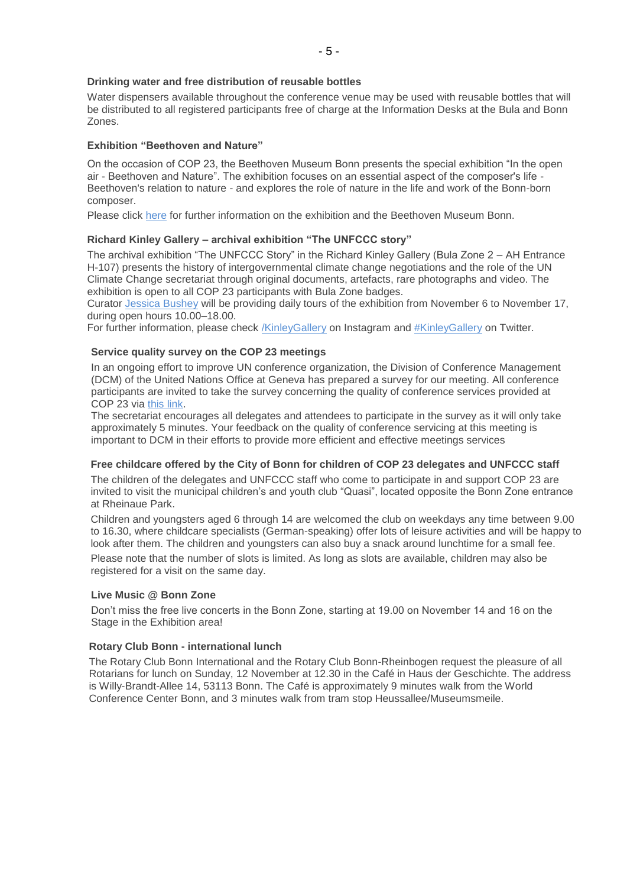#### **Drinking water and free distribution of reusable bottles**

Water dispensers available throughout the conference venue may be used with reusable bottles that will be distributed to all registered participants free of charge at the Information Desks at the Bula and Bonn Zones.

#### **Exhibition "Beethoven and Nature"**

On the occasion of COP 23, the Beethoven Museum Bonn presents the special exhibition "In the open air - Beethoven and Nature". The exhibition focuses on an essential aspect of the composer's life - Beethoven's relation to nature - and explores the role of nature in the life and work of the Bonn-born composer.

Please click [here](https://www.beethoven-haus-bonn.de/page/Visit#temporary_exhibitions) for further information on the exhibition and the Beethoven Museum Bonn.

#### **Richard Kinley Gallery – archival exhibition "The UNFCCC story"**

The archival exhibition "The UNFCCC Story" in the Richard Kinley Gallery (Bula Zone 2 – AH Entrance H-107) presents the history of intergovernmental climate change negotiations and the role of the UN Climate Change secretariat through original documents, artefacts, rare photographs and video. The exhibition is open to all COP 23 participants with Bula Zone badges.

Curator [Jessica Bushey](mailto:jbushey@unfccc.int) will be providing daily tours of the exhibition from November 6 to November 17, during open hours 10.00–18.00.

For further information, please check [/KinleyGallery](https://www.instagram.com/KinleyGallery/) on Instagram and [#KinleyGallery](https://twitter.com/hashtag/KinleyGallery?src=hash) on Twitter.

#### **Service quality survey on the COP 23 meetings**

In an ongoing effort to improve UN conference organization, the Division of Conference Management (DCM) of the United Nations Office at Geneva has prepared a survey for our meeting. All conference participants are invited to take the survey concerning the quality of conference services provided at COP 23 via [this link.](http://conf.unog.ch/dcmsurvey)

The secretariat encourages all delegates and attendees to participate in the survey as it will only take approximately 5 minutes. Your feedback on the quality of conference servicing at this meeting is important to DCM in their efforts to provide more efficient and effective meetings services

#### **Free childcare offered by the City of Bonn for children of COP 23 delegates and UNFCCC staff**

The children of the delegates and UNFCCC staff who come to participate in and support COP 23 are invited to visit the municipal children's and youth club "Quasi", located opposite the Bonn Zone entrance at Rheinaue Park.

Children and youngsters aged 6 through 14 are welcomed the club on weekdays any time between 9.00 to 16.30, where childcare specialists (German-speaking) offer lots of leisure activities and will be happy to look after them. The children and youngsters can also buy a snack around lunchtime for a small fee. Please note that the number of slots is limited. As long as slots are available, children may also be registered for a visit on the same day.

#### **Live Music @ Bonn Zone**

Don't miss the free live concerts in the Bonn Zone, starting at 19.00 on November 14 and 16 on the Stage in the Exhibition area!

#### **Rotary Club Bonn - international lunch**

The Rotary Club Bonn International and the Rotary Club Bonn-Rheinbogen request the pleasure of all Rotarians for lunch on Sunday, 12 November at 12.30 in the Café in Haus der Geschichte. The address is Willy-Brandt-Allee 14, 53113 Bonn. The Café is approximately 9 minutes walk from the World Conference Center Bonn, and 3 minutes walk from tram stop Heussallee/Museumsmeile.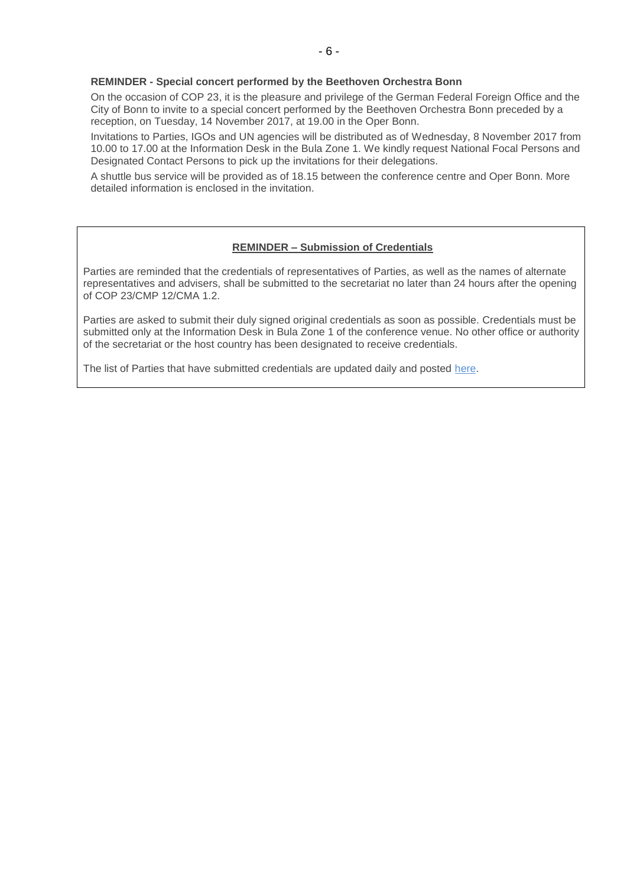#### **REMINDER - Special concert performed by the Beethoven Orchestra Bonn**

On the occasion of COP 23, it is the pleasure and privilege of the German Federal Foreign Office and the City of Bonn to invite to a special concert performed by the Beethoven Orchestra Bonn preceded by a reception, on Tuesday, 14 November 2017, at 19.00 in the Oper Bonn.

Invitations to Parties, IGOs and UN agencies will be distributed as of Wednesday, 8 November 2017 from 10.00 to 17.00 at the Information Desk in the Bula Zone 1. We kindly request National Focal Persons and Designated Contact Persons to pick up the invitations for their delegations.

A shuttle bus service will be provided as of 18.15 between the conference centre and Oper Bonn. More detailed information is enclosed in the invitation.

#### **REMINDER – Submission of Credentials**

Parties are reminded that the credentials of representatives of Parties, as well as the names of alternate representatives and advisers, shall be submitted to the secretariat no later than 24 hours after the opening of COP 23/CMP 12/CMA 1.2.

Parties are asked to submit their duly signed original credentials as soon as possible. Credentials must be submitted only at the Information Desk in Bula Zone 1 of the conference venue. No other office or authority of the secretariat or the host country has been designated to receive credentials.

The list of Parties that have submitted credentials are updated daily and posted [here.](http://unfccc.int/2860.php)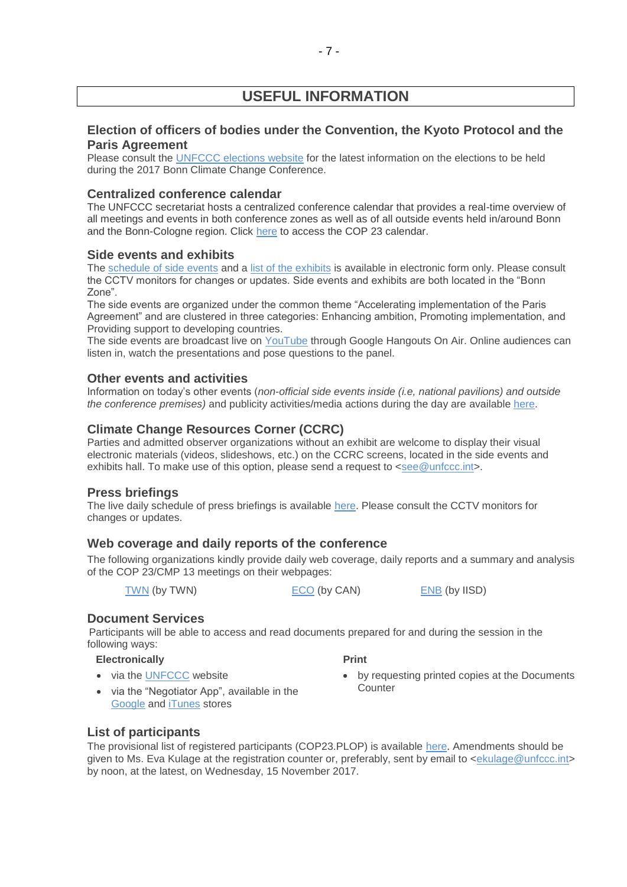# **USEFUL INFORMATION**

### **Election of officers of bodies under the Convention, the Kyoto Protocol and the Paris Agreement**

Please consult the [UNFCCC elections website](http://unfccc.int/6558.php) for the latest information on the elections to be held during the 2017 Bonn Climate Change Conference.

### **Centralized conference calendar**

The UNFCCC secretariat hosts a centralized conference calendar that provides a real-time overview of all meetings and events in both conference zones as well as of all outside events held in/around Bonn and the Bonn-Cologne region. Click [here](https://cop23.unfccc.int/calendar) to access the COP 23 calendar.

#### **Side events and exhibits**

The [schedule of side events](https://seors.unfccc.int/seors/reports/events_list.html?session_id=COP23) and a [list of the exhibits](https://seors.unfccc.int/seors/reports/exhibits_list.html?session_id=COP23) is available in electronic form only. Please consult the CCTV monitors for changes or updates. Side events and exhibits are both located in the "Bonn Zone".

The side events are organized under the common theme "Accelerating implementation of the Paris Agreement" and are clustered in three categories: Enhancing ambition, Promoting implementation, and Providing support to developing countries.

The side events are broadcast live on [YouTube](https://www.youtube.com/channel/UCSbUPgmmKUTzRmspKM9DpuQ?view_as=subscriber) through Google Hangouts On Air. Online audiences can listen in, watch the presentations and pose questions to the panel.

### **Other events and activities**

Information on today's other events (*non-official side events inside (i.e, national pavilions) and outside the conference premises)* and publicity activities/media actions during the day are available [here.](https://seors.unfccc.int/seors/reports/events_list.html?session_id=CEvents)

### **Climate Change Resources Corner (CCRC)**

Parties and admitted observer organizations without an exhibit are welcome to display their visual electronic materials (videos, slideshows, etc.) on the CCRC screens, located in the side events and exhibits hall. To make use of this option, please send a request to [<see@unfccc.int>](mailto:see@unfccc.int).

### **Press briefings**

The live daily schedule of press briefings is available [here.](https://grandreserva.unfccc.int/grandreserva/public/schedule?time=2017%2F11%2F11&conference_id=70&meeting_type=145&body=&webcast=0) Please consult the CCTV monitors for changes or updates.

### **Web coverage and daily reports of the conference**

The following organizations kindly provide daily web coverage, daily reports and a summary and analysis of the COP 23/CMP 13 meetings on their webpages:

[TWN](https://twnetwork.org/meeting/bonn-climate-change-conference-nov-2017) (by TWN) [ECO](http://www.climatenetwork.org/event/cop-23) (by CAN) [ENB](http://enb.iisd.org/climate/cop23/) (by IISD)

# **Document Services**

Participants will be able to access and read documents prepared for and during the session in the following ways:

### **Electronically**

• via the [UNFCCC](http://unfccc.int/meetings/bonn_nov_2017/meeting/10084/php/view/documents.php#c) website

- **Print**
- by requesting printed copies at the Documents **Counter**
- via the "Negotiator App", available in the [Google](https://play.google.com/store/apps/details?id=unfccc.negotiator) and [iTunes](https://itunes.apple.com/app/negotiator/id568085923?ls=1&mt=8) stores

### **List of participants**

The provisional list of registered participants (COP23.PLOP) is available [here](http://unfccc.int/resource/docs/2017/cop23/eng/PLOP.pdf). Amendments should be given to Ms. Eva Kulage at the registration counter or, preferably, sent by email to [<ekulage@unfccc.int>](mailto:ekulage@unfccc.int) by noon, at the latest, on Wednesday, 15 November 2017.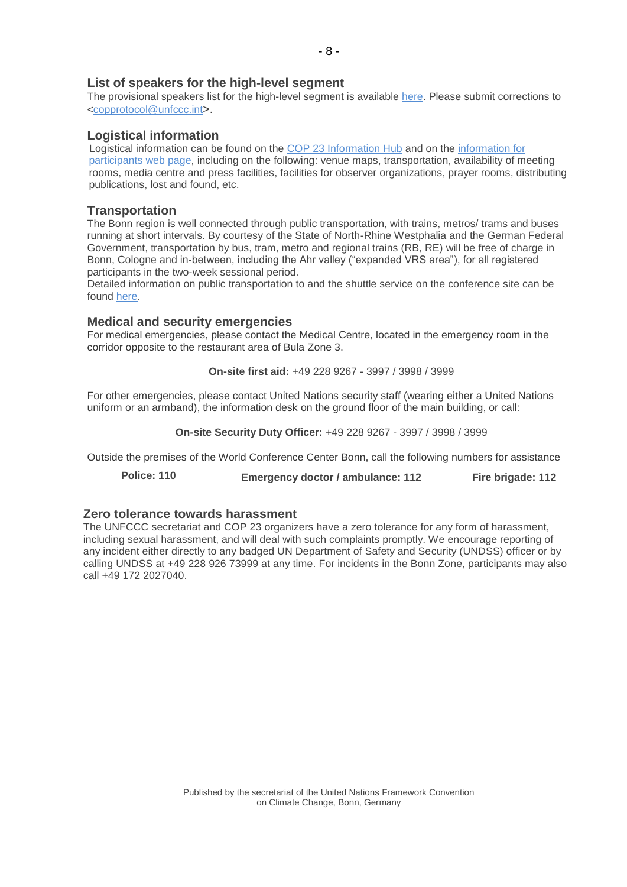#### **List of speakers for the high-level segment**

The provisional speakers list for the high-level segment is available [here.](file://///PPSFILER01/DOCUMENTS/DAILY%20PROGRAMMES/COP%2023%20Bonn/The%20provisional%20speakers%20list%20for%20the%20high-level%20segment%20is%20available%20on%20the%20UNFCCC%20website%20at%20the%20following%20https:/cop23.unfccc.int/cop23/high-level-segment) Please submit corrections to [<copprotocol@unfccc.int](mailto:copprotocol@unfccc.int)>.

#### **Logistical information**

Logistical information can be found on the [COP 23 Information Hub](http://newsroom.unfccc.int/cop23bonninformationhub/) and on the [information for](https://cop23.unfccc.int/info-a-z)  [participants web](https://cop23.unfccc.int/info-a-z) page, including on the following: venue maps, transportation, availability of meeting rooms, media centre and press facilities, facilities for observer organizations, prayer rooms, distributing publications, lost and found, etc.

### **Transportation**

The Bonn region is well connected through public transportation, with trains, metros/ trams and buses running at short intervals. By courtesy of the State of North-Rhine Westphalia and the German Federal Government, transportation by bus, tram, metro and regional trains (RB, RE) will be free of charge in Bonn, Cologne and in-between, including the Ahr valley ("expanded VRS area"), for all registered participants in the two-week sessional period.

Detailed information on public transportation to and the shuttle service on the conference site can be found [here.](http://newsroom.unfccc.int/cop23bonninformationhub/cop23-information-hub-accommodation-and-transport/)

#### **Medical and security emergencies**

For medical emergencies, please contact the Medical Centre, located in the emergency room in the corridor opposite to the restaurant area of Bula Zone 3.

**On-site first aid:** +49 228 9267 - 3997 / 3998 / 3999

For other emergencies, please contact United Nations security staff (wearing either a United Nations uniform or an armband), the information desk on the ground floor of the main building, or call:

**On-site Security Duty Officer:** +49 228 9267 - 3997 / 3998 / 3999

Outside the premises of the World Conference Center Bonn, call the following numbers for assistance

**Police: 110 Emergency doctor / ambulance: 112 Fire brigade: 112**

### **Zero tolerance towards harassment**

The UNFCCC secretariat and COP 23 organizers have a zero tolerance for any form of harassment, including sexual harassment, and will deal with such complaints promptly. We encourage reporting of any incident either directly to any badged UN Department of Safety and Security (UNDSS) officer or by calling UNDSS at +49 228 926 73999 at any time. For incidents in the Bonn Zone, participants may also call +49 172 2027040.